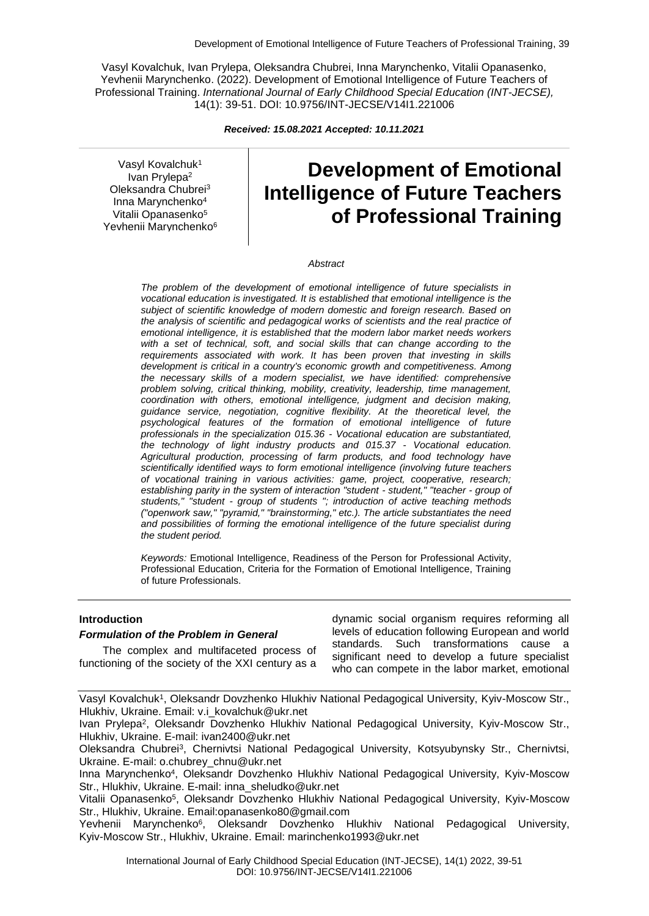Vasyl Kovalchuk, Ivan Prylepa, Oleksandra Chubrei, Inna Marynchenko, Vitalii Opanasenko, Yevhenii Marynchenko. (2022). Development of Emotional Intelligence of Future Teachers of Professional Training. *International Journal of Early Childhood Special Education (INT-JECSE),* 14(1): 39-51. DOI: 10.9756/INT-JECSE/V14I1.221006

*Received: 15.08.2021 Accepted: 10.11.2021*

Vasyl Kovalchuk<sup>1</sup> Ivan Prylepa<sup>2</sup> Oleksandra Chubrei<sup>3</sup> Inna Marynchenko<sup>4</sup> Vitalii Opanasenko<sup>5</sup> Yevhenii Marynchenko<sup>6</sup>

# **Development of Emotional Intelligence of Future Teachers of Professional Training**

#### *Abstract*

*The problem of the development of emotional intelligence of future specialists in vocational education is investigated. It is established that emotional intelligence is the subject of scientific knowledge of modern domestic and foreign research. Based on the analysis of scientific and pedagogical works of scientists and the real practice of emotional intelligence, it is established that the modern labor market needs workers with a set of technical, soft, and social skills that can change according to the requirements associated with work. It has been proven that investing in skills development is critical in a country's economic growth and competitiveness. Among the necessary skills of a modern specialist, we have identified: comprehensive problem solving, critical thinking, mobility, creativity, leadership, time management, coordination with others, emotional intelligence, judgment and decision making, guidance service, negotiation, cognitive flexibility. At the theoretical level, the psychological features of the formation of emotional intelligence of future professionals in the specialization 015.36 - Vocational education are substantiated, the technology of light industry products and 015.37 - Vocational education. Agricultural production, processing of farm products, and food technology have scientifically identified ways to form emotional intelligence (involving future teachers of vocational training in various activities: game, project, cooperative, research; establishing parity in the system of interaction "student - student," "teacher - group of students," "student - group of students "; introduction of active teaching methods ("openwork saw," "pyramid," "brainstorming," etc.). The article substantiates the need and possibilities of forming the emotional intelligence of the future specialist during the student period.*

*Keywords:* Emotional Intelligence, Readiness of the Person for Professional Activity, Professional Education, Criteria for the Formation of Emotional Intelligence, Training of future Professionals.

#### **Introduction**

#### *Formulation of the Problem in General*

The complex and multifaceted process of functioning of the society of the XXI century as a dynamic social organism requires reforming all levels of education following European and world standards. Such transformations cause a significant need to develop a future specialist who can compete in the labor market, emotional

Vasyl Kovalchuk<sup>1</sup>, Oleksandr Dovzhenko Hlukhiv National Pedagogical University, Kyiv-Moscow Str., Hlukhiv, Ukraine. Email: v.i\_kovalchuk@ukr.net

Ivan Prylepa<sup>2</sup>, Oleksandr Dovzhenko Hlukhiv National Pedagogical University, Kyiv-Moscow Str., Hlukhiv, Ukraine. E-mail: ivan2400@ukr.net

Oleksandra Chubrei<sup>3</sup>, Chernivtsi National Pedagogical University, Kotsyubynsky Str., Chernivtsi, Ukraine. E-mail: o.chubrey\_chnu@ukr.net

Inna Marynchenko<sup>4</sup>, Oleksandr Dovzhenko Hlukhiv National Pedagogical University, Kyiv-Moscow Str., Hlukhiv, Ukraine. E-mail: inna\_sheludko@ukr.net

Vitalii Opanasenko<sup>5</sup>, Oleksandr Dovzhenko Hlukhiv National Pedagogical University, Kyiv-Moscow Str., Hlukhiv, Ukraine. Email:opanasenko80@gmail.com

Yevhenii Marynchenko<sup>6</sup>, Oleksandr Dovzhenko Hlukhiv National Pedagogical University, Kyiv-Moscow Str., Hlukhiv, Ukraine. Email: marinchenko1993@ukr.net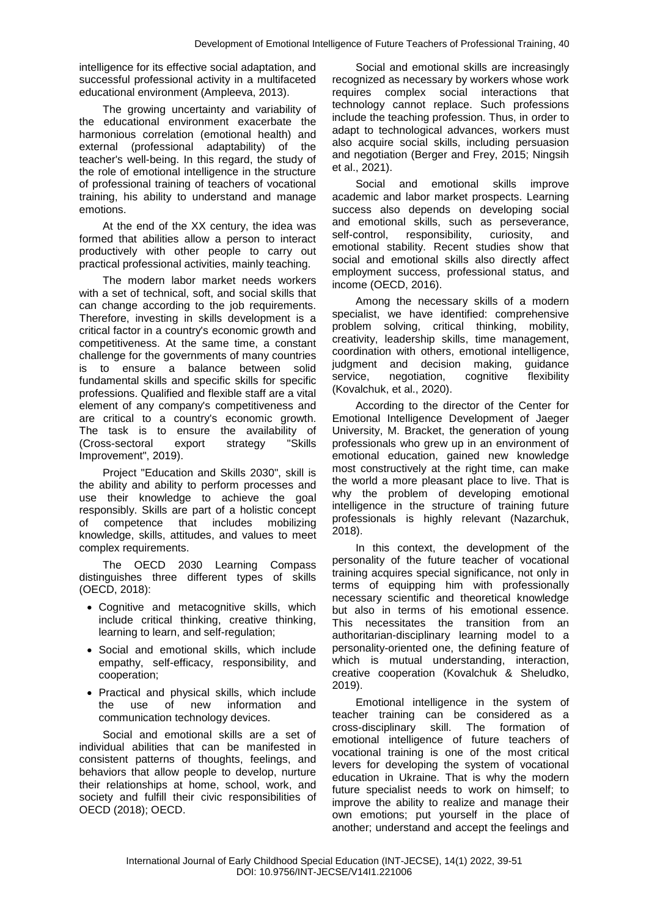intelligence for its effective social adaptation, and successful professional activity in a multifaceted educational environment (Ampleeva, 2013).

The growing uncertainty and variability of the educational environment exacerbate the harmonious correlation (emotional health) and external (professional adaptability) of the teacher's well-being. In this regard, the study of the role of emotional intelligence in the structure of professional training of teachers of vocational training, his ability to understand and manage emotions.

At the end of the XX century, the idea was formed that abilities allow a person to interact productively with other people to carry out practical professional activities, mainly teaching.

The modern labor market needs workers with a set of technical, soft, and social skills that can change according to the job requirements. Therefore, investing in skills development is a critical factor in a country's economic growth and competitiveness. At the same time, a constant challenge for the governments of many countries is to ensure a balance between solid fundamental skills and specific skills for specific professions. Qualified and flexible staff are a vital element of any company's competitiveness and are critical to a country's economic growth. The task is to ensure the availability of (Cross-sectoral export strategy "Skills Improvement", 2019).

Project "Education and Skills 2030", skill is the ability and ability to perform processes and use their knowledge to achieve the goal responsibly. Skills are part of a holistic concept of competence that includes mobilizing knowledge, skills, attitudes, and values to meet complex requirements.

The OECD 2030 Learning Compass distinguishes three different types of skills (OECD, 2018):

- Cognitive and metacognitive skills, which include critical thinking, creative thinking, learning to learn, and self-regulation;
- Social and emotional skills, which include empathy, self-efficacy, responsibility, and cooperation;
- Practical and physical skills, which include the use of new information and communication technology devices.

Social and emotional skills are a set of individual abilities that can be manifested in consistent patterns of thoughts, feelings, and behaviors that allow people to develop, nurture their relationships at home, school, work, and society and fulfill their civic responsibilities of OECD (2018); OECD.

Social and emotional skills are increasingly recognized as necessary by workers whose work requires complex social interactions that technology cannot replace. Such professions include the teaching profession. Thus, in order to adapt to technological advances, workers must also acquire social skills, including persuasion and negotiation (Berger and Frey, 2015; Ningsih et al., 2021).

Social and emotional skills improve academic and labor market prospects. Learning success also depends on developing social and emotional skills, such as perseverance, self-control, responsibility, curiosity, and emotional stability. Recent studies show that social and emotional skills also directly affect employment success, professional status, and income (OECD, 2016).

Among the necessary skills of a modern specialist, we have identified: comprehensive problem solving, critical thinking, mobility, creativity, leadership skills, time management, coordination with others, emotional intelligence, judgment and decision making, guidance service, negotiation, cognitive flexibility (Kovalchuk, et al., 2020).

According to the director of the Center for Emotional Intelligence Development of Jaeger University, M. Bracket, the generation of young professionals who grew up in an environment of emotional education, gained new knowledge most constructively at the right time, can make the world a more pleasant place to live. That is why the problem of developing emotional intelligence in the structure of training future professionals is highly relevant (Nazarchuk, 2018).

In this context, the development of the personality of the future teacher of vocational training acquires special significance, not only in terms of equipping him with professionally necessary scientific and theoretical knowledge but also in terms of his emotional essence. This necessitates the transition from an authoritarian-disciplinary learning model to a personality-oriented one, the defining feature of which is mutual understanding, interaction, creative cooperation (Kovalchuk & Sheludko, 2019).

Emotional intelligence in the system of teacher training can be considered as a cross-disciplinary skill. The formation of emotional intelligence of future teachers of vocational training is one of the most critical levers for developing the system of vocational education in Ukraine. That is why the modern future specialist needs to work on himself; to improve the ability to realize and manage their own emotions; put yourself in the place of another; understand and accept the feelings and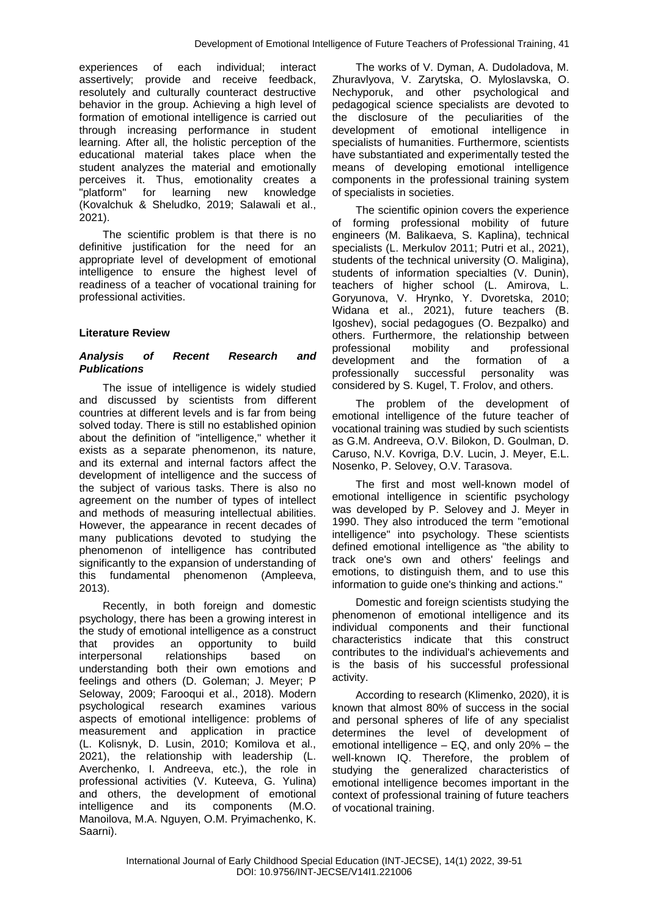experiences of each individual; interact assertively; provide and receive feedback, resolutely and culturally counteract destructive behavior in the group. Achieving a high level of formation of emotional intelligence is carried out through increasing performance in student learning. After all, the holistic perception of the educational material takes place when the student analyzes the material and emotionally perceives it. Thus, emotionality creates a "platform" for learning new knowledge (Kovalchuk & Sheludko, 2019; Salawali et al., 2021).

The scientific problem is that there is no definitive justification for the need for an appropriate level of development of emotional intelligence to ensure the highest level of readiness of a teacher of vocational training for professional activities.

## **Literature Review**

## *Analysis of Recent Research and Publications*

The issue of intelligence is widely studied and discussed by scientists from different countries at different levels and is far from being solved today. There is still no established opinion about the definition of "intelligence," whether it exists as a separate phenomenon, its nature, and its external and internal factors affect the development of intelligence and the success of the subject of various tasks. There is also no agreement on the number of types of intellect and methods of measuring intellectual abilities. However, the appearance in recent decades of many publications devoted to studying the phenomenon of intelligence has contributed significantly to the expansion of understanding of this fundamental phenomenon (Ampleeva, 2013).

Recently, in both foreign and domestic psychology, there has been a growing interest in the study of emotional intelligence as a construct that provides an opportunity to build interpersonal relationships based on understanding both their own emotions and feelings and others (D. Goleman; J. Meyer; P Seloway, 2009; Farooqui et al., 2018). Modern psychological research examines various aspects of emotional intelligence: problems of measurement and application in practice (L. Kolisnyk, D. Lusin, 2010; Komilova et al., 2021), the relationship with leadership (L. Averchenko, I. Andreeva, etc.), the role in professional activities (V. Kuteeva, G. Yulina) and others, the development of emotional intelligence and its components (M.O. Manoilova, M.A. Nguyen, O.M. Pryimachenko, K. Saarni).

The works of V. Dyman, A. Dudoladova, M. Zhuravlyova, V. Zarytska, O. Myloslavska, O. Nechyporuk, and other psychological and pedagogical science specialists are devoted to the disclosure of the peculiarities of the development of emotional intelligence in specialists of humanities. Furthermore, scientists have substantiated and experimentally tested the means of developing emotional intelligence components in the professional training system of specialists in societies.

The scientific opinion covers the experience of forming professional mobility of future engineers (M. Balikaeva, S. Kaplina), technical specialists (L. Merkulov 2011; Putri et al., 2021), students of the technical university (O. Maligina), students of information specialties (V. Dunin), teachers of higher school (L. Amirova, L. Goryunova, V. Hrynko, Y. Dvoretska, 2010; Widana et al., 2021), future teachers (B. Igoshev), social pedagogues (O. Bezpalko) and others. Furthermore, the relationship between professional mobility and professional development and the formation of a professionally successful personality was considered by S. Kugel, T. Frolov, and others.

The problem of the development of emotional intelligence of the future teacher of vocational training was studied by such scientists as G.M. Andreeva, O.V. Bilokon, D. Goulman, D. Caruso, N.V. Kovriga, D.V. Lucin, J. Meyer, E.L. Nosenko, P. Selovey, O.V. Tarasova.

The first and most well-known model of emotional intelligence in scientific psychology was developed by P. Selovey and J. Meyer in 1990. They also introduced the term "emotional intelligence" into psychology. These scientists defined emotional intelligence as "the ability to track one's own and others' feelings and emotions, to distinguish them, and to use this information to guide one's thinking and actions."

Domestic and foreign scientists studying the phenomenon of emotional intelligence and its individual components and their functional characteristics indicate that this construct contributes to the individual's achievements and is the basis of his successful professional activity.

According to research (Klimenko, 2020), it is known that almost 80% of success in the social and personal spheres of life of any specialist determines the level of development of emotional intelligence – EQ, and only 20% – the well-known IQ. Therefore, the problem of studying the generalized characteristics of emotional intelligence becomes important in the context of professional training of future teachers of vocational training.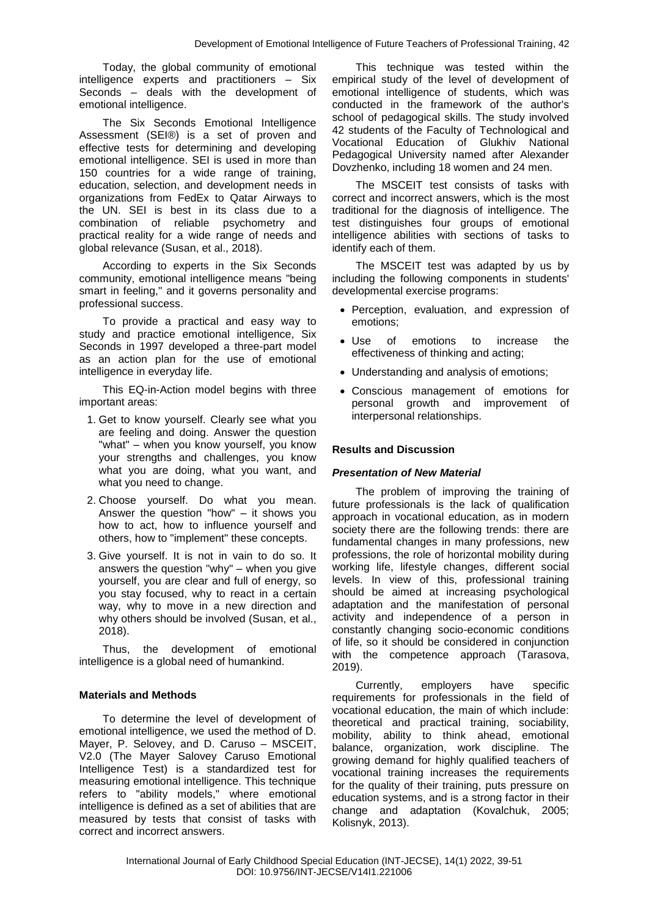Today, the global community of emotional intelligence experts and practitioners – Six Seconds – deals with the development of emotional intelligence.

The Six Seconds Emotional Intelligence Assessment (SEI®) is a set of proven and effective tests for determining and developing emotional intelligence. SEI is used in more than 150 countries for a wide range of training, education, selection, and development needs in organizations from FedEx to Qatar Airways to the UN. SEI is best in its class due to a combination of reliable psychometry and practical reality for a wide range of needs and global relevance (Susan, et al., 2018).

According to experts in the Six Seconds community, emotional intelligence means "being smart in feeling," and it governs personality and professional success.

To provide a practical and easy way to study and practice emotional intelligence, Six Seconds in 1997 developed a three-part model as an action plan for the use of emotional intelligence in everyday life.

This EQ-in-Action model begins with three important areas:

- 1. Get to know yourself. Clearly see what you are feeling and doing. Answer the question "what" – when you know yourself, you know your strengths and challenges, you know what you are doing, what you want, and what you need to change.
- 2. Choose yourself. Do what you mean. Answer the question "how" – it shows you how to act, how to influence yourself and others, how to "implement" these concepts.
- 3. Give yourself. It is not in vain to do so. It answers the question "why" – when you give yourself, you are clear and full of energy, so you stay focused, why to react in a certain way, why to move in a new direction and why others should be involved (Susan, et al., 2018).

Thus, the development of emotional intelligence is a global need of humankind.

## **Materials and Methods**

To determine the level of development of emotional intelligence, we used the method of D. Mayer, P. Selovey, and D. Caruso – MSCEIT, V2.0 (The Mayer Salovey Caruso Emotional Intelligence Test) is a standardized test for measuring emotional intelligence. This technique refers to "ability models," where emotional intelligence is defined as a set of abilities that are measured by tests that consist of tasks with correct and incorrect answers.

This technique was tested within the empirical study of the level of development of emotional intelligence of students, which was conducted in the framework of the author's school of pedagogical skills. The study involved 42 students of the Faculty of Technological and Vocational Education of Glukhiv National Pedagogical University named after Alexander Dovzhenko, including 18 women and 24 men.

The MSCEIT test consists of tasks with correct and incorrect answers, which is the most traditional for the diagnosis of intelligence. The test distinguishes four groups of emotional intelligence abilities with sections of tasks to identify each of them.

The MSCEIT test was adapted by us by including the following components in students' developmental exercise programs:

- Perception, evaluation, and expression of emotions;
- Use of emotions to increase the effectiveness of thinking and acting;
- Understanding and analysis of emotions;
- Conscious management of emotions for personal growth and improvement of interpersonal relationships.

## **Results and Discussion**

#### *Presentation of New Material*

The problem of improving the training of future professionals is the lack of qualification approach in vocational education, as in modern society there are the following trends: there are fundamental changes in many professions, new professions, the role of horizontal mobility during working life, lifestyle changes, different social levels. In view of this, professional training should be aimed at increasing psychological adaptation and the manifestation of personal activity and independence of a person in constantly changing socio-economic conditions of life, so it should be considered in conjunction with the competence approach (Tarasova, 2019).

Currently, employers have specific requirements for professionals in the field of vocational education, the main of which include: theoretical and practical training, sociability, mobility, ability to think ahead, emotional balance, organization, work discipline. The growing demand for highly qualified teachers of vocational training increases the requirements for the quality of their training, puts pressure on education systems, and is a strong factor in their change and adaptation (Kovalchuk, 2005; Kolisnyk, 2013).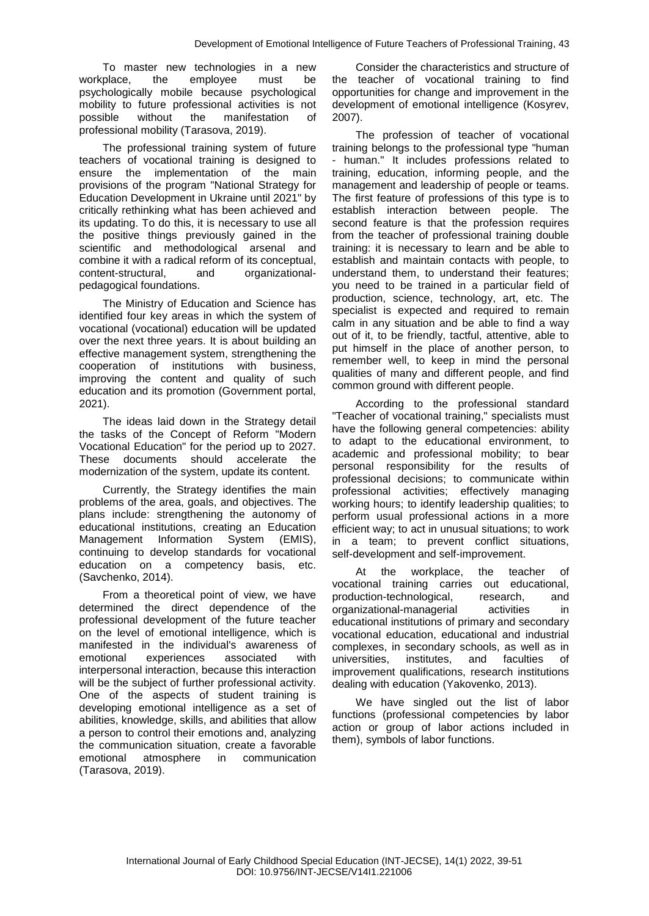To master new technologies in a new workplace, the employee must be psychologically mobile because psychological mobility to future professional activities is not possible without the manifestation of professional mobility (Tarasova, 2019).

The professional training system of future teachers of vocational training is designed to ensure the implementation of the main provisions of the program "National Strategy for Education Development in Ukraine until 2021" by critically rethinking what has been achieved and its updating. To do this, it is necessary to use all the positive things previously gained in the scientific and methodological arsenal and combine it with a radical reform of its conceptual, content-structural, and organizationalpedagogical foundations.

The Ministry of Education and Science has identified four key areas in which the system of vocational (vocational) education will be updated over the next three years. It is about building an effective management system, strengthening the cooperation of institutions with business, improving the content and quality of such education and its promotion (Government portal, 2021).

The ideas laid down in the Strategy detail the tasks of the Concept of Reform "Modern Vocational Education" for the period up to 2027. These documents should accelerate the modernization of the system, update its content.

Currently, the Strategy identifies the main problems of the area, goals, and objectives. The plans include: strengthening the autonomy of educational institutions, creating an Education Management Information System (EMIS), continuing to develop standards for vocational education on a competency basis, etc. (Savchenko, 2014).

From a theoretical point of view, we have determined the direct dependence of the professional development of the future teacher on the level of emotional intelligence, which is manifested in the individual's awareness of emotional experiences associated with interpersonal interaction, because this interaction will be the subject of further professional activity. One of the aspects of student training is developing emotional intelligence as a set of abilities, knowledge, skills, and abilities that allow a person to control their emotions and, analyzing the communication situation, create a favorable emotional atmosphere in communication (Tarasova, 2019).

Consider the characteristics and structure of the teacher of vocational training to find opportunities for change and improvement in the development of emotional intelligence (Kosyrev, 2007).

The profession of teacher of vocational training belongs to the professional type "human - human." It includes professions related to training, education, informing people, and the management and leadership of people or teams. The first feature of professions of this type is to establish interaction between people. The second feature is that the profession requires from the teacher of professional training double training: it is necessary to learn and be able to establish and maintain contacts with people, to understand them, to understand their features; you need to be trained in a particular field of production, science, technology, art, etc. The specialist is expected and required to remain calm in any situation and be able to find a way out of it, to be friendly, tactful, attentive, able to put himself in the place of another person, to remember well, to keep in mind the personal qualities of many and different people, and find common ground with different people.

According to the professional standard "Teacher of vocational training," specialists must have the following general competencies: ability to adapt to the educational environment, to academic and professional mobility; to bear personal responsibility for the results of professional decisions; to communicate within professional activities; effectively managing working hours; to identify leadership qualities; to perform usual professional actions in a more efficient way; to act in unusual situations; to work in a team; to prevent conflict situations, self-development and self-improvement.

At the workplace, the teacher of vocational training carries out educational, production-technological, research, and organizational-managerial activities in educational institutions of primary and secondary vocational education, educational and industrial complexes, in secondary schools, as well as in universities, institutes, and faculties of improvement qualifications, research institutions dealing with education (Yakovenko, 2013).

We have singled out the list of labor functions (professional competencies by labor action or group of labor actions included in them), symbols of labor functions.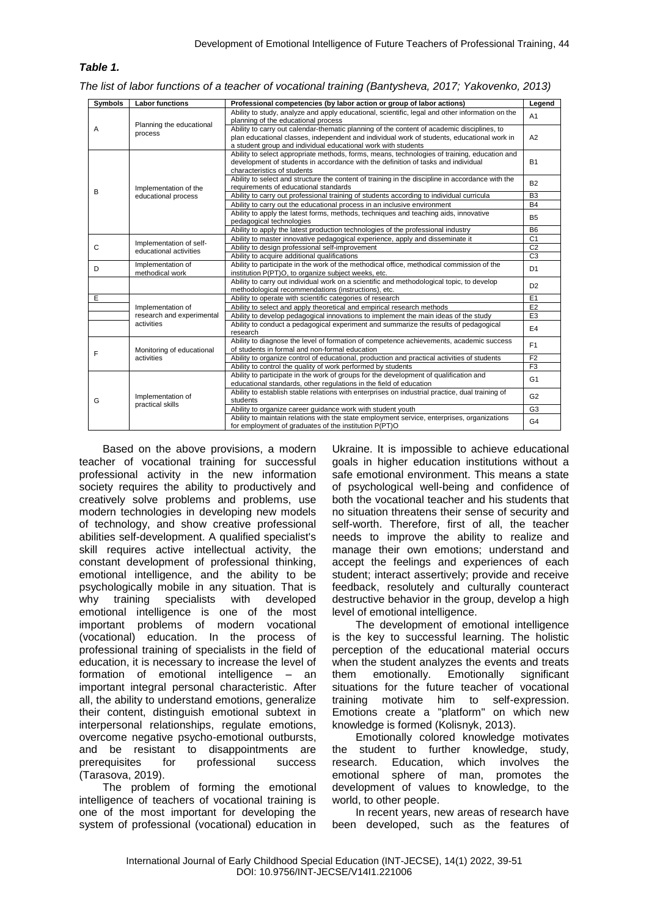## *Table 1.*

*The list of labor functions of a teacher of vocational training (Bantysheva, 2017; Yakovenko, 2013)*

| <b>Symbols</b> | <b>Labor functions</b>                            | Professional competencies (by labor action or group of labor actions)                                                                                                                                                                                     | Legend         |
|----------------|---------------------------------------------------|-----------------------------------------------------------------------------------------------------------------------------------------------------------------------------------------------------------------------------------------------------------|----------------|
| A              | Planning the educational<br>process               | Ability to study, analyze and apply educational, scientific, legal and other information on the<br>planning of the educational process                                                                                                                    |                |
|                |                                                   | Ability to carry out calendar-thematic planning of the content of academic disciplines, to<br>plan educational classes, independent and individual work of students, educational work in<br>a student group and individual educational work with students | A2             |
| B              | Implementation of the<br>educational process      | Ability to select appropriate methods, forms, means, technologies of training, education and<br>development of students in accordance with the definition of tasks and individual<br>characteristics of students                                          |                |
|                |                                                   | Ability to select and structure the content of training in the discipline in accordance with the<br>requirements of educational standards                                                                                                                 | B <sub>2</sub> |
|                |                                                   | Ability to carry out professional training of students according to individual curricula                                                                                                                                                                  | B <sub>3</sub> |
|                |                                                   | Ability to carry out the educational process in an inclusive environment                                                                                                                                                                                  | <b>B4</b>      |
|                |                                                   | Ability to apply the latest forms, methods, techniques and teaching aids, innovative<br>pedagogical technologies                                                                                                                                          | <b>B5</b>      |
|                |                                                   | Ability to apply the latest production technologies of the professional industry                                                                                                                                                                          | B <sub>6</sub> |
| C              | Implementation of self-<br>educational activities | Ability to master innovative pedagogical experience, apply and disseminate it                                                                                                                                                                             | C <sub>1</sub> |
|                |                                                   | Ability to design professional self-improvement                                                                                                                                                                                                           | C <sub>2</sub> |
|                |                                                   | Ability to acquire additional qualifications                                                                                                                                                                                                              | C <sub>3</sub> |
| D              | Implementation of<br>methodical work              | Ability to participate in the work of the methodical office, methodical commission of the<br>institution P(PT)O, to organize subject weeks, etc.                                                                                                          | D <sub>1</sub> |
|                |                                                   | Ability to carry out individual work on a scientific and methodological topic, to develop<br>methodological recommendations (instructions), etc.                                                                                                          | D <sub>2</sub> |
| E              |                                                   | Ability to operate with scientific categories of research                                                                                                                                                                                                 | E <sub>1</sub> |
|                | Implementation of                                 | Ability to select and apply theoretical and empirical research methods                                                                                                                                                                                    | E <sub>2</sub> |
|                | research and experimental                         | Ability to develop pedagogical innovations to implement the main ideas of the study                                                                                                                                                                       | E <sub>3</sub> |
|                | activities                                        | Ability to conduct a pedagogical experiment and summarize the results of pedagogical<br>research                                                                                                                                                          | E <sub>4</sub> |
| F              | Monitoring of educational<br>activities           | Ability to diagnose the level of formation of competence achievements, academic success<br>of students in formal and non-formal education                                                                                                                 | F <sub>1</sub> |
|                |                                                   | Ability to organize control of educational, production and practical activities of students                                                                                                                                                               | F <sub>2</sub> |
|                |                                                   | Ability to control the quality of work performed by students                                                                                                                                                                                              | F <sub>3</sub> |
| G              | Implementation of<br>practical skills             | Ability to participate in the work of groups for the development of qualification and<br>educational standards, other regulations in the field of education                                                                                               | G <sub>1</sub> |
|                |                                                   | Ability to establish stable relations with enterprises on industrial practice, dual training of<br>students                                                                                                                                               | G <sub>2</sub> |
|                |                                                   | Ability to organize career guidance work with student youth                                                                                                                                                                                               | G <sub>3</sub> |
|                |                                                   | Ability to maintain relations with the state employment service, enterprises, organizations<br>for employment of graduates of the institution P(PT)O                                                                                                      | G <sub>4</sub> |

Based on the above provisions, a modern teacher of vocational training for successful professional activity in the new information society requires the ability to productively and creatively solve problems and problems, use modern technologies in developing new models of technology, and show creative professional abilities self-development. A qualified specialist's skill requires active intellectual activity, the constant development of professional thinking, emotional intelligence, and the ability to be psychologically mobile in any situation. That is why training specialists with developed emotional intelligence is one of the most important problems of modern vocational (vocational) education. In the process of professional training of specialists in the field of education, it is necessary to increase the level of formation of emotional intelligence – an important integral personal characteristic. After all, the ability to understand emotions, generalize their content, distinguish emotional subtext in interpersonal relationships, regulate emotions, overcome negative psycho-emotional outbursts, and be resistant to disappointments are prerequisites for professional success (Tarasova, 2019).

The problem of forming the emotional intelligence of teachers of vocational training is one of the most important for developing the system of professional (vocational) education in

Ukraine. It is impossible to achieve educational goals in higher education institutions without a safe emotional environment. This means a state of psychological well-being and confidence of both the vocational teacher and his students that no situation threatens their sense of security and self-worth. Therefore, first of all, the teacher needs to improve the ability to realize and manage their own emotions; understand and accept the feelings and experiences of each student; interact assertively; provide and receive feedback, resolutely and culturally counteract destructive behavior in the group, develop a high level of emotional intelligence.

The development of emotional intelligence is the key to successful learning. The holistic perception of the educational material occurs when the student analyzes the events and treats them emotionally. Emotionally significant situations for the future teacher of vocational training motivate him to self-expression. Emotions create a "platform" on which new knowledge is formed (Kolisnyk, 2013).

Emotionally colored knowledge motivates the student to further knowledge, study, research. Education, which involves the emotional sphere of man, promotes the development of values to knowledge, to the world, to other people.

In recent years, new areas of research have been developed, such as the features of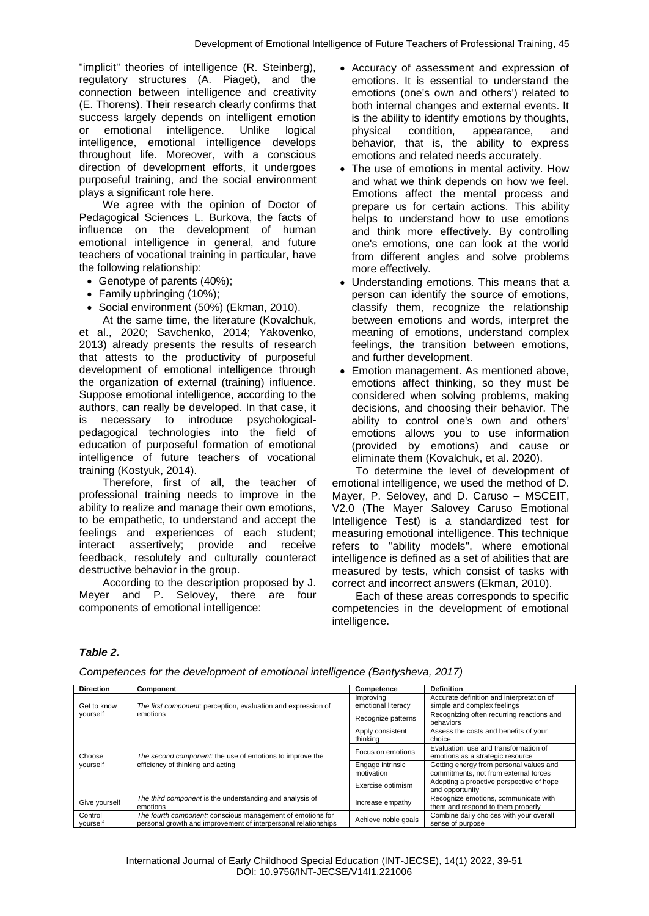"implicit" theories of intelligence (R. Steinberg), regulatory structures (A. Piaget), and the connection between intelligence and creativity (E. Thorens). Their research clearly confirms that success largely depends on intelligent emotion or emotional intelligence. Unlike logical intelligence, emotional intelligence develops throughout life. Moreover, with a conscious direction of development efforts, it undergoes purposeful training, and the social environment plays a significant role here.

We agree with the opinion of Doctor of Pedagogical Sciences L. Burkova, the facts of influence on the development of human emotional intelligence in general, and future teachers of vocational training in particular, have the following relationship:

- Genotype of parents (40%);
- Family upbringing (10%);
- Social environment (50%) (Ekman, 2010).

At the same time, the literature (Kovalchuk, et al., 2020; Savchenko, 2014; Yakovenko, 2013) already presents the results of research that attests to the productivity of purposeful development of emotional intelligence through the organization of external (training) influence. Suppose emotional intelligence, according to the authors, can really be developed. In that case, it is necessary to introduce psychologicalpedagogical technologies into the field of education of purposeful formation of emotional intelligence of future teachers of vocational training (Kostyuk, 2014).

Therefore, first of all, the teacher of professional training needs to improve in the ability to realize and manage their own emotions, to be empathetic, to understand and accept the feelings and experiences of each student; interact assertively; provide and receive feedback, resolutely and culturally counteract destructive behavior in the group.

According to the description proposed by J. Meyer and P. Selovey, there are four components of emotional intelligence:

- Accuracy of assessment and expression of emotions. It is essential to understand the emotions (one's own and others') related to both internal changes and external events. It is the ability to identify emotions by thoughts, physical condition, appearance, and behavior, that is, the ability to express emotions and related needs accurately.
- The use of emotions in mental activity. How and what we think depends on how we feel. Emotions affect the mental process and prepare us for certain actions. This ability helps to understand how to use emotions and think more effectively. By controlling one's emotions, one can look at the world from different angles and solve problems more effectively.
- Understanding emotions. This means that a person can identify the source of emotions, classify them, recognize the relationship between emotions and words, interpret the meaning of emotions, understand complex feelings, the transition between emotions, and further development.
- Emotion management. As mentioned above, emotions affect thinking, so they must be considered when solving problems, making decisions, and choosing their behavior. The ability to control one's own and others' emotions allows you to use information (provided by emotions) and cause or eliminate them (Kovalchuk, et al. 2020).

To determine the level of development of emotional intelligence, we used the method of D. Mayer, P. Selovey, and D. Caruso – MSCEIT, V2.0 (The Mayer Salovey Caruso Emotional Intelligence Test) is a standardized test for measuring emotional intelligence. This technique refers to "ability models", where emotional intelligence is defined as a set of abilities that are measured by tests, which consist of tasks with correct and incorrect answers (Ekman, 2010).

Each of these areas corresponds to specific competencies in the development of emotional intelligence.

## *Table 2.*

| <b>Direction</b>        | Component                                                                                                                    | Competence                      | <b>Definition</b>                                                                |
|-------------------------|------------------------------------------------------------------------------------------------------------------------------|---------------------------------|----------------------------------------------------------------------------------|
| Get to know<br>yourself | The first component: perception, evaluation and expression of                                                                | Improving<br>emotional literacy | Accurate definition and interpretation of<br>simple and complex feelings         |
|                         | emotions                                                                                                                     | Recognize patterns              | Recognizing often recurring reactions and<br>behaviors                           |
| Choose<br>yourself      |                                                                                                                              | Apply consistent<br>thinking    | Assess the costs and benefits of your<br>choice                                  |
|                         | The second component: the use of emotions to improve the<br>efficiency of thinking and acting                                | Focus on emotions               | Evaluation, use and transformation of<br>emotions as a strategic resource        |
|                         |                                                                                                                              | Engage intrinsic<br>motivation  | Getting energy from personal values and<br>commitments, not from external forces |
|                         |                                                                                                                              | Exercise optimism               | Adopting a proactive perspective of hope<br>and opportunity                      |
| Give yourself           | The third component is the understanding and analysis of<br>emotions                                                         | Increase empathy                | Recognize emotions, communicate with<br>them and respond to them properly        |
| Control<br>yourself     | The fourth component: conscious management of emotions for<br>personal growth and improvement of interpersonal relationships | Achieve noble goals             | Combine daily choices with your overall<br>sense of purpose                      |

*Competences for the development of emotional intelligence (Bantysheva, 2017)*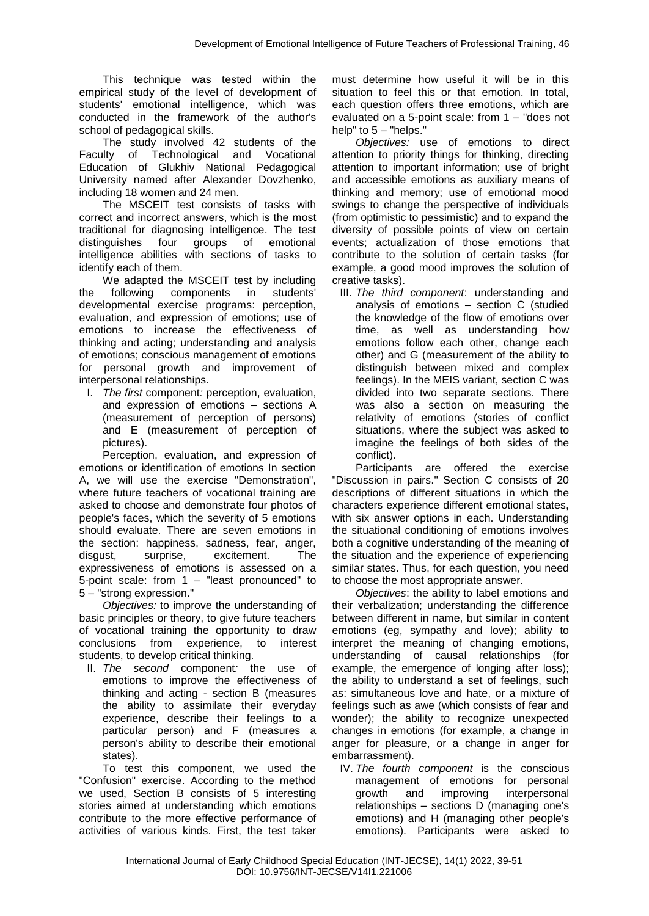This technique was tested within the empirical study of the level of development of students' emotional intelligence, which was conducted in the framework of the author's school of pedagogical skills.

The study involved 42 students of the Faculty of Technological and Vocational Education of Glukhiv National Pedagogical University named after Alexander Dovzhenko, including 18 women and 24 men.

The MSCEIT test consists of tasks with correct and incorrect answers, which is the most traditional for diagnosing intelligence. The test distinguishes four groups of emotional intelligence abilities with sections of tasks to identify each of them.

We adapted the MSCEIT test by including the following components in students' developmental exercise programs: perception, evaluation, and expression of emotions; use of emotions to increase the effectiveness of thinking and acting; understanding and analysis of emotions; conscious management of emotions for personal growth and improvement of interpersonal relationships.

I. *The first* component*:* perception, evaluation, and expression of emotions – sections A (measurement of perception of persons) and E (measurement of perception of pictures).

Perception, evaluation, and expression of emotions or identification of emotions In section A, we will use the exercise "Demonstration", where future teachers of vocational training are asked to choose and demonstrate four photos of people's faces, which the severity of 5 emotions should evaluate. There are seven emotions in the section: happiness, sadness, fear, anger, disgust, surprise, excitement. The expressiveness of emotions is assessed on a 5-point scale: from 1 – "least pronounced" to 5 – "strong expression."

*Objectives:* to improve the understanding of basic principles or theory, to give future teachers of vocational training the opportunity to draw conclusions from experience, to interest students, to develop critical thinking.

II. *The second* component*:* the use of emotions to improve the effectiveness of thinking and acting - section B (measures the ability to assimilate their everyday experience, describe their feelings to a particular person) and F (measures a person's ability to describe their emotional states).

To test this component, we used the "Confusion" exercise. According to the method we used, Section B consists of 5 interesting stories aimed at understanding which emotions contribute to the more effective performance of activities of various kinds. First, the test taker

must determine how useful it will be in this situation to feel this or that emotion. In total, each question offers three emotions, which are evaluated on a 5-point scale: from 1 – "does not help" to 5 – "helps."

*Objectives:* use of emotions to direct attention to priority things for thinking, directing attention to important information; use of bright and accessible emotions as auxiliary means of thinking and memory; use of emotional mood swings to change the perspective of individuals (from optimistic to pessimistic) and to expand the diversity of possible points of view on certain events; actualization of those emotions that contribute to the solution of certain tasks (for example, a good mood improves the solution of creative tasks).

III. *The third component*: understanding and analysis of emotions – section C (studied the knowledge of the flow of emotions over time, as well as understanding how emotions follow each other, change each other) and G (measurement of the ability to distinguish between mixed and complex feelings). In the MEIS variant, section C was divided into two separate sections. There was also a section on measuring the relativity of emotions (stories of conflict situations, where the subject was asked to imagine the feelings of both sides of the conflict).

Participants are offered the exercise "Discussion in pairs." Section C consists of 20 descriptions of different situations in which the characters experience different emotional states, with six answer options in each. Understanding the situational conditioning of emotions involves both a cognitive understanding of the meaning of the situation and the experience of experiencing similar states. Thus, for each question, you need to choose the most appropriate answer.

*Objectives*: the ability to label emotions and their verbalization; understanding the difference between different in name, but similar in content emotions (eg, sympathy and love); ability to interpret the meaning of changing emotions, understanding of causal relationships (for example, the emergence of longing after loss); the ability to understand a set of feelings, such as: simultaneous love and hate, or a mixture of feelings such as awe (which consists of fear and wonder); the ability to recognize unexpected changes in emotions (for example, a change in anger for pleasure, or a change in anger for embarrassment).

IV. *The fourth component* is the conscious management of emotions for personal growth and improving interpersonal relationships – sections D (managing one's emotions) and H (managing other people's emotions). Participants were asked to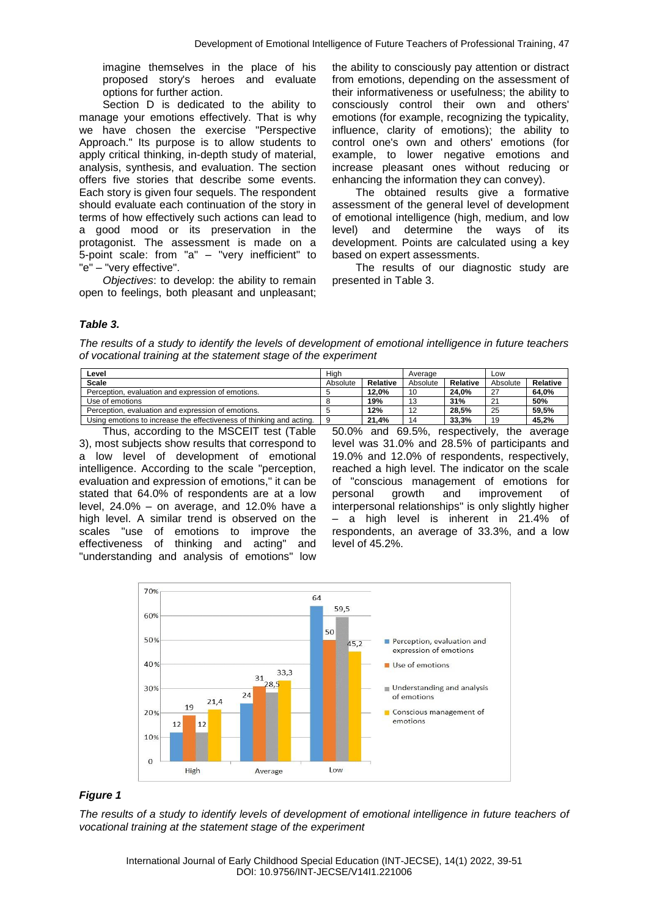imagine themselves in the place of his proposed story's heroes and evaluate options for further action.

Section D is dedicated to the ability to manage your emotions effectively. That is why we have chosen the exercise "Perspective Approach." Its purpose is to allow students to apply critical thinking, in-depth study of material, analysis, synthesis, and evaluation. The section offers five stories that describe some events. Each story is given four sequels. The respondent should evaluate each continuation of the story in terms of how effectively such actions can lead to a good mood or its preservation in the protagonist. The assessment is made on a 5-point scale: from "a" – "very inefficient" to "e" – "very effective".

*Objectives*: to develop: the ability to remain open to feelings, both pleasant and unpleasant; the ability to consciously pay attention or distract from emotions, depending on the assessment of their informativeness or usefulness; the ability to consciously control their own and others' emotions (for example, recognizing the typicality, influence, clarity of emotions); the ability to control one's own and others' emotions (for example, to lower negative emotions and increase pleasant ones without reducing or enhancing the information they can convey).

The obtained results give a formative assessment of the general level of development of emotional intelligence (high, medium, and low level) and determine the ways of its development. Points are calculated using a key based on expert assessments.

The results of our diagnostic study are presented in Table 3.

#### *Table 3.*

*The results of a study to identify the levels of development of emotional intelligence in future teachers of vocational training at the statement stage of the experiment*

| ∟evel                                                                |          | Hiah     |          | Average  |          | Low      |  |
|----------------------------------------------------------------------|----------|----------|----------|----------|----------|----------|--|
| <b>Scale</b>                                                         | Absolute | Relative | Absolute | Relative | Absolute | Relative |  |
| Perception, evaluation and expression of emotions.                   |          | 12.0%    | 10       | 24.0%    | 27       | 64.0%    |  |
| Use of emotions                                                      |          | 19%      | $\Delta$ | 31%      | $\sim$   | 50%      |  |
| Perception, evaluation and expression of emotions.                   |          | 12%      |          | 28.5%    | 25       | 59.5%    |  |
| Using emotions to increase the effectiveness of thinking and acting. |          | 21.4%    |          | 33.3%    | 19       | 45.2%    |  |

Thus, according to the MSCEIT test (Table 3), most subjects show results that correspond to a low level of development of emotional intelligence. According to the scale "perception, evaluation and expression of emotions," it can be stated that 64.0% of respondents are at a low level, 24.0% – on average, and 12.0% have a high level. A similar trend is observed on the scales "use of emotions to improve the effectiveness of thinking and acting" and "understanding and analysis of emotions" low

50.0% and 69.5%, respectively, the average level was 31.0% and 28.5% of participants and 19.0% and 12.0% of respondents, respectively, reached a high level. The indicator on the scale of "conscious management of emotions for personal growth and improvement of interpersonal relationships" is only slightly higher – a high level is inherent in 21.4% of respondents, an average of 33.3%, and a low level of 45.2%.



#### *Figure 1*

*The results of a study to identify levels of development of emotional intelligence in future teachers of vocational training at the statement stage of the experiment*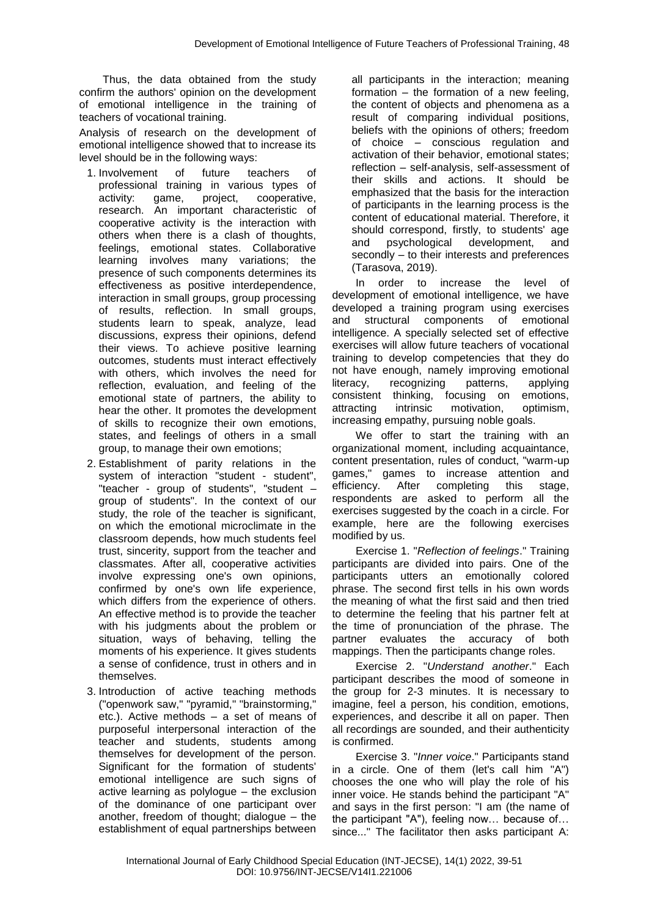Thus, the data obtained from the study confirm the authors' opinion on the development of emotional intelligence in the training of teachers of vocational training.

Analysis of research on the development of emotional intelligence showed that to increase its level should be in the following ways:

- 1. Involvement of future teachers of professional training in various types of activity: game, project, cooperative, research. An important characteristic of cooperative activity is the interaction with others when there is a clash of thoughts, feelings, emotional states. Collaborative learning involves many variations; the presence of such components determines its effectiveness as positive interdependence, interaction in small groups, group processing of results, reflection. In small groups, students learn to speak, analyze, lead discussions, express their opinions, defend their views. To achieve positive learning outcomes, students must interact effectively with others, which involves the need for reflection, evaluation, and feeling of the emotional state of partners, the ability to hear the other. It promotes the development of skills to recognize their own emotions, states, and feelings of others in a small group, to manage their own emotions;
- 2. Establishment of parity relations in the system of interaction "student - student", "teacher - group of students", "student – group of students". In the context of our study, the role of the teacher is significant, on which the emotional microclimate in the classroom depends, how much students feel trust, sincerity, support from the teacher and classmates. After all, cooperative activities involve expressing one's own opinions, confirmed by one's own life experience, which differs from the experience of others. An effective method is to provide the teacher with his judgments about the problem or situation, ways of behaving, telling the moments of his experience. It gives students a sense of confidence, trust in others and in themselves.
- 3. Introduction of active teaching methods ("openwork saw," "pyramid," "brainstorming," etc.). Active methods – a set of means of purposeful interpersonal interaction of the teacher and students, students among themselves for development of the person. Significant for the formation of students' emotional intelligence are such signs of active learning as polylogue – the exclusion of the dominance of one participant over another, freedom of thought; dialogue – the establishment of equal partnerships between

all participants in the interaction; meaning formation – the formation of a new feeling, the content of objects and phenomena as a result of comparing individual positions, beliefs with the opinions of others; freedom of choice – conscious regulation and activation of their behavior, emotional states; reflection – self-analysis, self-assessment of their skills and actions. It should be emphasized that the basis for the interaction of participants in the learning process is the content of educational material. Therefore, it should correspond, firstly, to students' age and psychological development, and secondly – to their interests and preferences (Tarasova, 2019).

In order to increase the level of development of emotional intelligence, we have developed a training program using exercises and structural components of emotional intelligence. A specially selected set of effective exercises will allow future teachers of vocational training to develop competencies that they do not have enough, namely improving emotional literacy, recognizing patterns, applying consistent thinking, focusing on emotions, attracting intrinsic motivation, optimism, increasing empathy, pursuing noble goals.

We offer to start the training with an organizational moment, including acquaintance, content presentation, rules of conduct, "warm-up games," games to increase attention and efficiency. After completing this stage, respondents are asked to perform all the exercises suggested by the coach in a circle. For example, here are the following exercises modified by us.

Exercise 1. "*Reflection of feelings*." Training participants are divided into pairs. One of the participants utters an emotionally colored phrase. The second first tells in his own words the meaning of what the first said and then tried to determine the feeling that his partner felt at the time of pronunciation of the phrase. The partner evaluates the accuracy of both mappings. Then the participants change roles.

Exercise 2. "*Understand another*." Each participant describes the mood of someone in the group for 2-3 minutes. It is necessary to imagine, feel a person, his condition, emotions, experiences, and describe it all on paper. Then all recordings are sounded, and their authenticity is confirmed.

Exercise 3. "*Inner voice*." Participants stand in a circle. One of them (let's call him "A") chooses the one who will play the role of his inner voice. He stands behind the participant "A" and says in the first person: "I am (the name of the participant "A"), feeling now… because of… since..." The facilitator then asks participant A: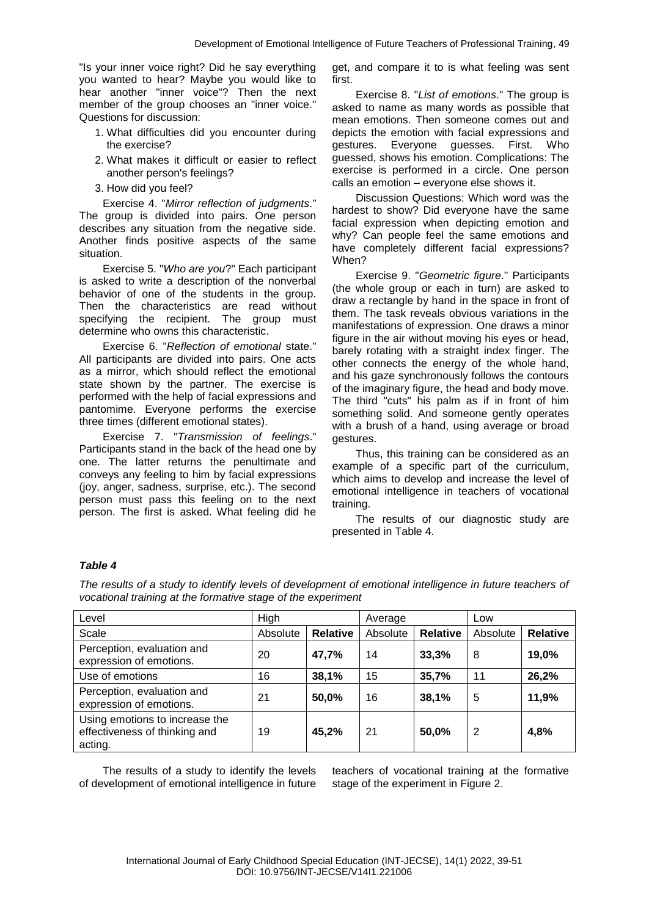"Is your inner voice right? Did he say everything you wanted to hear? Maybe you would like to hear another "inner voice"? Then the next member of the group chooses an "inner voice." Questions for discussion:

- 1. What difficulties did you encounter during the exercise?
- 2. What makes it difficult or easier to reflect another person's feelings?
- 3. How did you feel?

Exercise 4. "*Mirror reflection of judgments*." The group is divided into pairs. One person describes any situation from the negative side. Another finds positive aspects of the same situation.

Exercise 5. "*Who are you*?" Each participant is asked to write a description of the nonverbal behavior of one of the students in the group. Then the characteristics are read without specifying the recipient. The group must determine who owns this characteristic.

Exercise 6. "*Reflection of emotional* state." All participants are divided into pairs. One acts as a mirror, which should reflect the emotional state shown by the partner. The exercise is performed with the help of facial expressions and pantomime. Everyone performs the exercise three times (different emotional states).

Exercise 7. "*Transmission of feelings*." Participants stand in the back of the head one by one. The latter returns the penultimate and conveys any feeling to him by facial expressions (joy, anger, sadness, surprise, etc.). The second person must pass this feeling on to the next person. The first is asked. What feeling did he

get, and compare it to is what feeling was sent first.

Exercise 8. "*List of emotions*." The group is asked to name as many words as possible that mean emotions. Then someone comes out and depicts the emotion with facial expressions and gestures. Everyone guesses. First. Who guessed, shows his emotion. Complications: The exercise is performed in a circle. One person calls an emotion – everyone else shows it.

Discussion Questions: Which word was the hardest to show? Did everyone have the same facial expression when depicting emotion and why? Can people feel the same emotions and have completely different facial expressions? When?

Exercise 9. "*Geometric figure*." Participants (the whole group or each in turn) are asked to draw a rectangle by hand in the space in front of them. The task reveals obvious variations in the manifestations of expression. One draws a minor figure in the air without moving his eyes or head, barely rotating with a straight index finger. The other connects the energy of the whole hand, and his gaze synchronously follows the contours of the imaginary figure, the head and body move. The third "cuts" his palm as if in front of him something solid. And someone gently operates with a brush of a hand, using average or broad gestures.

Thus, this training can be considered as an example of a specific part of the curriculum, which aims to develop and increase the level of emotional intelligence in teachers of vocational training.

The results of our diagnostic study are presented in Table 4.

## *Table 4*

*The results of a study to identify levels of development of emotional intelligence in future teachers of vocational training at the formative stage of the experiment*

| Level                                                                      | High     |                 | Average  |                 | Low      |                 |
|----------------------------------------------------------------------------|----------|-----------------|----------|-----------------|----------|-----------------|
| Scale                                                                      | Absolute | <b>Relative</b> | Absolute | <b>Relative</b> | Absolute | <b>Relative</b> |
| Perception, evaluation and<br>expression of emotions.                      | 20       | 47,7%           | 14       | 33,3%           | 8        | 19,0%           |
| Use of emotions                                                            | 16       | 38,1%           | 15       | 35,7%           | 11       | 26,2%           |
| Perception, evaluation and<br>expression of emotions.                      | 21       | 50,0%           | 16       | 38,1%           | 5        | 11,9%           |
| Using emotions to increase the<br>effectiveness of thinking and<br>acting. | 19       | 45,2%           | 21       | 50,0%           | 2        | 4,8%            |

The results of a study to identify the levels of development of emotional intelligence in future teachers of vocational training at the formative stage of the experiment in Figure 2.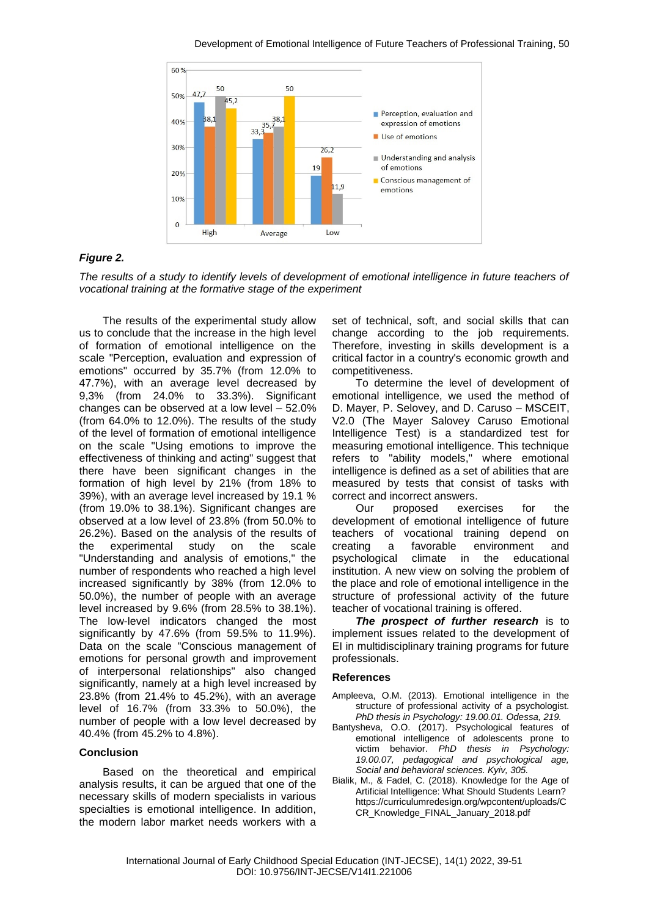

## *Figure 2.*

*The results of a study to identify levels of development of emotional intelligence in future teachers of vocational training at the formative stage of the experiment*

The results of the experimental study allow us to conclude that the increase in the high level of formation of emotional intelligence on the scale "Perception, evaluation and expression of emotions" occurred by 35.7% (from 12.0% to 47.7%), with an average level decreased by 9,3% (from 24.0% to 33.3%). Significant changes can be observed at a low level – 52.0% (from 64.0% to 12.0%). The results of the study of the level of formation of emotional intelligence on the scale "Using emotions to improve the effectiveness of thinking and acting" suggest that there have been significant changes in the formation of high level by 21% (from 18% to 39%), with an average level increased by 19.1 % (from 19.0% to 38.1%). Significant changes are observed at a low level of 23.8% (from 50.0% to 26.2%). Based on the analysis of the results of the experimental study on the scale "Understanding and analysis of emotions," the number of respondents who reached a high level increased significantly by 38% (from 12.0% to 50.0%), the number of people with an average level increased by 9.6% (from 28.5% to 38.1%). The low-level indicators changed the most significantly by 47.6% (from 59.5% to 11.9%). Data on the scale "Conscious management of emotions for personal growth and improvement of interpersonal relationships" also changed significantly, namely at a high level increased by 23.8% (from 21.4% to 45.2%), with an average level of 16.7% (from 33.3% to 50.0%), the number of people with a low level decreased by 40.4% (from 45.2% to 4.8%).

#### **Conclusion**

Based on the theoretical and empirical analysis results, it can be argued that one of the necessary skills of modern specialists in various specialties is emotional intelligence. In addition, the modern labor market needs workers with a

set of technical, soft, and social skills that can change according to the job requirements. Therefore, investing in skills development is a critical factor in a country's economic growth and competitiveness.

To determine the level of development of emotional intelligence, we used the method of D. Mayer, P. Selovey, and D. Caruso – MSCEIT, V2.0 (The Mayer Salovey Caruso Emotional Intelligence Test) is a standardized test for measuring emotional intelligence. This technique refers to "ability models," where emotional intelligence is defined as a set of abilities that are measured by tests that consist of tasks with correct and incorrect answers.

Our proposed exercises for the development of emotional intelligence of future teachers of vocational training depend on creating a favorable environment and psychological climate in the educational institution. A new view on solving the problem of the place and role of emotional intelligence in the structure of professional activity of the future teacher of vocational training is offered.

*The prospect of further research* is to implement issues related to the development of EI in multidisciplinary training programs for future professionals.

#### **References**

- Ampleeva, O.M. (2013). Emotional intelligence in the structure of professional activity of a psychologist. *PhD thesis in Psychology: 19.00.01. Odessa, 219.*
- Bantysheva, O.O. (2017). Psychological features of emotional intelligence of adolescents prone to victim behavior. *PhD thesis in Psychology: 19.00.07, pedagogical and psychological age, Social and behavioral sciences. Kyiv, 305.*
- Bialik, M., & Fadel, C. (2018). Knowledge for the Age of Artificial Intelligence: What Should Students Learn? https://curriculumredesign.org/wpcontent/uploads/C CR\_Knowledge\_FINAL\_January\_2018.pdf